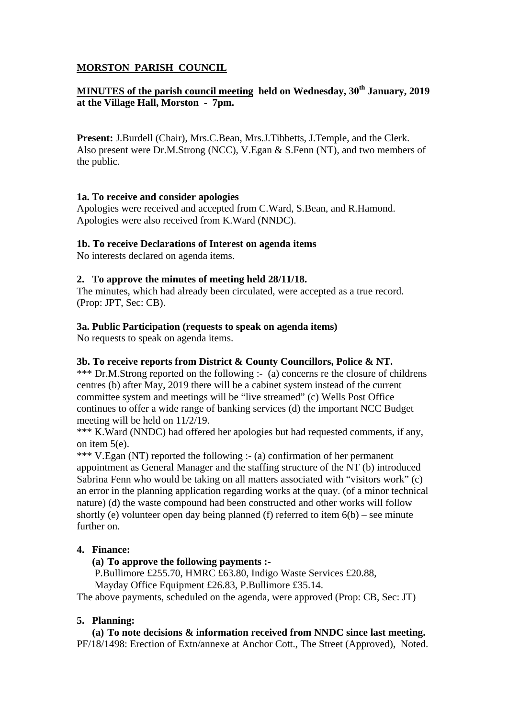# **MORSTON PARISH COUNCIL**

# **MINUTES of the parish council meeting held on Wednesday, 30<sup>th</sup> January, 2019 at the Village Hall, Morston - 7pm.**

**Present:** J.Burdell (Chair), Mrs.C.Bean, Mrs.J.Tibbetts, J.Temple, and the Clerk. Also present were Dr.M.Strong (NCC), V.Egan & S.Fenn (NT), and two members of the public.

## **1a. To receive and consider apologies**

Apologies were received and accepted from C.Ward, S.Bean, and R.Hamond. Apologies were also received from K.Ward (NNDC).

## **1b. To receive Declarations of Interest on agenda items**

No interests declared on agenda items.

## **2. To approve the minutes of meeting held 28/11/18.**

The minutes, which had already been circulated, were accepted as a true record. (Prop: JPT, Sec: CB).

## **3a. Public Participation (requests to speak on agenda items)**

No requests to speak on agenda items.

### **3b. To receive reports from District & County Councillors, Police & NT.**

\*\*\* Dr.M.Strong reported on the following :- (a) concerns re the closure of childrens centres (b) after May, 2019 there will be a cabinet system instead of the current committee system and meetings will be "live streamed" (c) Wells Post Office continues to offer a wide range of banking services (d) the important NCC Budget meeting will be held on 11/2/19.

\*\*\* K.Ward (NNDC) had offered her apologies but had requested comments, if any, on item 5(e).

\*\*\* V.Egan (NT) reported the following :- (a) confirmation of her permanent appointment as General Manager and the staffing structure of the NT (b) introduced Sabrina Fenn who would be taking on all matters associated with "visitors work" (c) an error in the planning application regarding works at the quay. (of a minor technical nature) (d) the waste compound had been constructed and other works will follow shortly (e) volunteer open day being planned (f) referred to item  $6(b)$  – see minute further on.

# **4. Finance:**

### **(a) To approve the following payments :-**

P.Bullimore £255.70, HMRC £63.80, Indigo Waste Services £20.88,

Mayday Office Equipment £26.83, P.Bullimore £35.14.

The above payments, scheduled on the agenda, were approved (Prop: CB, Sec: JT)

### **5. Planning:**

### **(a) To note decisions & information received from NNDC since last meeting.**

PF/18/1498: Erection of Extn/annexe at Anchor Cott., The Street (Approved), Noted.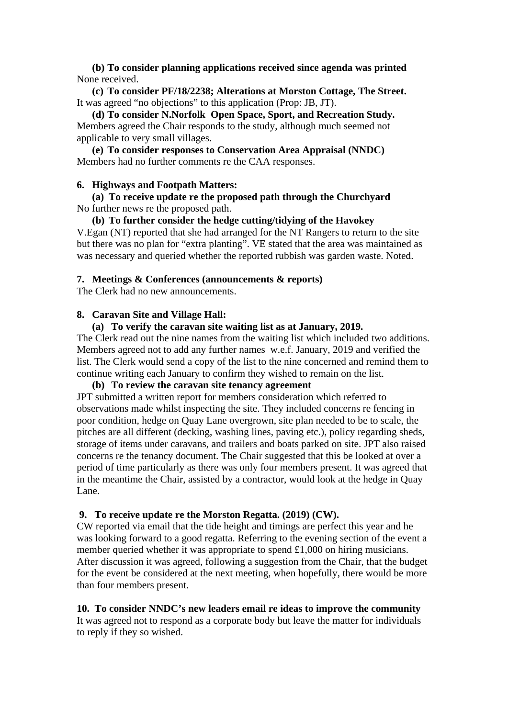**(b) To consider planning applications received since agenda was printed**  None received.

**(c) To consider PF/18/2238; Alterations at Morston Cottage, The Street.**  It was agreed "no objections" to this application (Prop: JB, JT).

**(d) To consider N.Norfolk Open Space, Sport, and Recreation Study.**  Members agreed the Chair responds to the study, although much seemed not applicable to very small villages.

**(e) To consider responses to Conservation Area Appraisal (NNDC)**  Members had no further comments re the CAA responses.

#### **6. Highways and Footpath Matters:**

**(a) To receive update re the proposed path through the Churchyard**  No further news re the proposed path.

## **(b) To further consider the hedge cutting/tidying of the Havokey**

V.Egan (NT) reported that she had arranged for the NT Rangers to return to the site but there was no plan for "extra planting". VE stated that the area was maintained as was necessary and queried whether the reported rubbish was garden waste. Noted.

#### **7. Meetings & Conferences (announcements & reports)**

The Clerk had no new announcements.

#### **8. Caravan Site and Village Hall:**

#### **(a) To verify the caravan site waiting list as at January, 2019.**

The Clerk read out the nine names from the waiting list which included two additions. Members agreed not to add any further names w.e.f. January, 2019 and verified the list. The Clerk would send a copy of the list to the nine concerned and remind them to continue writing each January to confirm they wished to remain on the list.

#### **(b) To review the caravan site tenancy agreement**

JPT submitted a written report for members consideration which referred to observations made whilst inspecting the site. They included concerns re fencing in poor condition, hedge on Quay Lane overgrown, site plan needed to be to scale, the pitches are all different (decking, washing lines, paving etc.), policy regarding sheds, storage of items under caravans, and trailers and boats parked on site. JPT also raised concerns re the tenancy document. The Chair suggested that this be looked at over a period of time particularly as there was only four members present. It was agreed that in the meantime the Chair, assisted by a contractor, would look at the hedge in Quay Lane.

#### **9. To receive update re the Morston Regatta. (2019) (CW).**

CW reported via email that the tide height and timings are perfect this year and he was looking forward to a good regatta. Referring to the evening section of the event a member queried whether it was appropriate to spend £1,000 on hiring musicians. After discussion it was agreed, following a suggestion from the Chair, that the budget for the event be considered at the next meeting, when hopefully, there would be more than four members present.

#### **10. To consider NNDC's new leaders email re ideas to improve the community**

It was agreed not to respond as a corporate body but leave the matter for individuals to reply if they so wished.